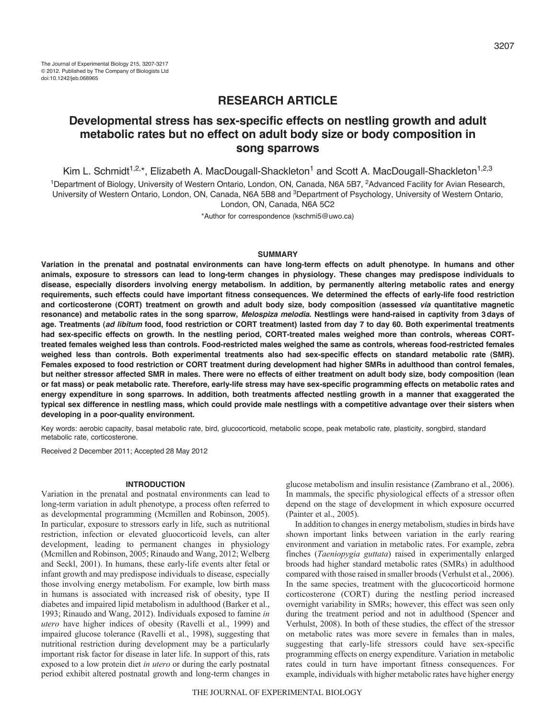# **RESEARCH ARTICLE**

# **Developmental stress has sex-specific effects on nestling growth and adult metabolic rates but no effect on adult body size or body composition in song sparrows**

Kim L. Schmidt<sup>1,2,\*</sup>, Elizabeth A. MacDougall-Shackleton<sup>1</sup> and Scott A. MacDougall-Shackleton<sup>1,2,3</sup> <sup>1</sup>Department of Biology, University of Western Ontario, London, ON, Canada, N6A 5B7, <sup>2</sup>Advanced Facility for Avian Research,

University of Western Ontario, London, ON, Canada, N6A 5B8 and <sup>3</sup>Department of Psychology, University of Western Ontario, London, ON, Canada, N6A 5C2

\*Author for correspondence (kschmi5@uwo.ca)

## **SUMMARY**

**Variation in the prenatal and postnatal environments can have long-term effects on adult phenotype. In humans and other animals, exposure to stressors can lead to long-term changes in physiology. These changes may predispose individuals to disease, especially disorders involving energy metabolism. In addition, by permanently altering metabolic rates and energy requirements, such effects could have important fitness consequences. We determined the effects of early-life food restriction and corticosterone (CORT) treatment on growth and adult body size, body composition (assessed** *via* **quantitative magnetic resonance) and metabolic rates in the song sparrow,** *Melospiza melodia***. Nestlings were hand-raised in captivity from 3days of age. Treatments (***ad libitum* **food, food restriction or CORT treatment) lasted from day 7 to day 60. Both experimental treatments had sex-specific effects on growth. In the nestling period, CORT-treated males weighed more than controls, whereas CORTtreated females weighed less than controls. Food-restricted males weighed the same as controls, whereas food-restricted females weighed less than controls. Both experimental treatments also had sex-specific effects on standard metabolic rate (SMR). Females exposed to food restriction or CORT treatment during development had higher SMRs in adulthood than control females, but neither stressor affected SMR in males. There were no effects of either treatment on adult body size, body composition (lean or fat mass) or peak metabolic rate. Therefore, early-life stress may have sex-specific programming effects on metabolic rates and energy expenditure in song sparrows. In addition, both treatments affected nestling growth in a manner that exaggerated the typical sex difference in nestling mass, which could provide male nestlings with a competitive advantage over their sisters when developing in a poor-quality environment.**

Key words: aerobic capacity, basal metabolic rate, bird, glucocorticoid, metabolic scope, peak metabolic rate, plasticity, songbird, standard metabolic rate, corticosterone.

Received 2 December 2011; Accepted 28 May 2012

#### **INTRODUCTION**

Variation in the prenatal and postnatal environments can lead to long-term variation in adult phenotype, a process often referred to as developmental programming (Mcmillen and Robinson, 2005). In particular, exposure to stressors early in life, such as nutritional restriction, infection or elevated gluocorticoid levels, can alter development, leading to permanent changes in physiology (Mcmillen and Robinson, 2005; Rinaudo and Wang, 2012; Welberg and Seckl, 2001). In humans, these early-life events alter fetal or infant growth and may predispose individuals to disease, especially those involving energy metabolism. For example, low birth mass in humans is associated with increased risk of obesity, type II diabetes and impaired lipid metabolism in adulthood (Barker et al., 1993; Rinaudo and Wang, 2012). Individuals exposed to famine *in utero* have higher indices of obesity (Ravelli et al., 1999) and impaired glucose tolerance (Ravelli et al., 1998), suggesting that nutritional restriction during development may be a particularly important risk factor for disease in later life. In support of this, rats exposed to a low protein diet *in utero* or during the early postnatal period exhibit altered postnatal growth and long-term changes in

glucose metabolism and insulin resistance (Zambrano et al., 2006). In mammals, the specific physiological effects of a stressor often depend on the stage of development in which exposure occurred (Painter et al., 2005).

In addition to changes in energy metabolism, studies in birds have shown important links between variation in the early rearing environment and variation in metabolic rates. For example, zebra finches (*Taeniopygia guttata*) raised in experimentally enlarged broods had higher standard metabolic rates (SMRs) in adulthood compared with those raised in smaller broods (Verhulst et al., 2006). In the same species, treatment with the glucocorticoid hormone corticosterone (CORT) during the nestling period increased overnight variability in SMRs; however, this effect was seen only during the treatment period and not in adulthood (Spencer and Verhulst, 2008). In both of these studies, the effect of the stressor on metabolic rates was more severe in females than in males, suggesting that early-life stressors could have sex-specific programming effects on energy expenditure. Variation in metabolic rates could in turn have important fitness consequences. For example, individuals with higher metabolic rates have higher energy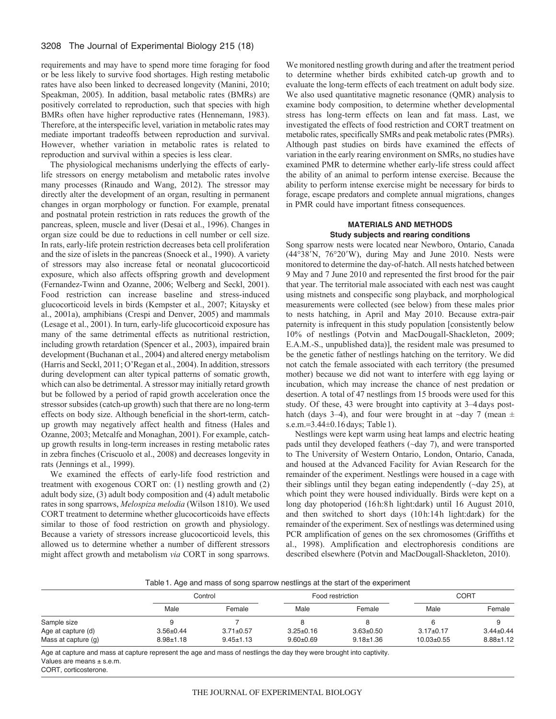## 3208 The Journal of Experimental Biology 215 (18)

requirements and may have to spend more time foraging for food or be less likely to survive food shortages. High resting metabolic rates have also been linked to decreased longevity (Manini, 2010; Speakman, 2005). In addition, basal metabolic rates (BMRs) are positively correlated to reproduction, such that species with high BMRs often have higher reproductive rates (Hennemann, 1983). Therefore, at the interspecific level, variation in metabolic rates may mediate important tradeoffs between reproduction and survival. However, whether variation in metabolic rates is related to reproduction and survival within a species is less clear.

The physiological mechanisms underlying the effects of earlylife stressors on energy metabolism and metabolic rates involve many processes (Rinaudo and Wang, 2012). The stressor may directly alter the development of an organ, resulting in permanent changes in organ morphology or function. For example, prenatal and postnatal protein restriction in rats reduces the growth of the pancreas, spleen, muscle and liver (Desai et al., 1996). Changes in organ size could be due to reductions in cell number or cell size. In rats, early-life protein restriction decreases beta cell proliferation and the size of islets in the pancreas (Snoeck et al., 1990). A variety of stressors may also increase fetal or neonatal glucocorticoid exposure, which also affects offspring growth and development (Fernandez-Twinn and Ozanne, 2006; Welberg and Seckl, 2001). Food restriction can increase baseline and stress-induced glucocorticoid levels in birds (Kempster et al., 2007; Kitaysky et al., 2001a), amphibians (Crespi and Denver, 2005) and mammals (Lesage et al., 2001). In turn, early-life glucocorticoid exposure has many of the same detrimental effects as nutritional restriction, including growth retardation (Spencer et al., 2003), impaired brain development (Buchanan et al., 2004) and altered energy metabolism (Harris and Seckl, 2011; O'Regan et al., 2004). In addition, stressors during development can alter typical patterns of somatic growth, which can also be detrimental. A stressor may initially retard growth but be followed by a period of rapid growth acceleration once the stressor subsides (catch-up growth) such that there are no long-term effects on body size. Although beneficial in the short-term, catchup growth may negatively affect health and fitness (Hales and Ozanne, 2003; Metcalfe and Monaghan, 2001). For example, catchup growth results in long-term increases in resting metabolic rates in zebra finches (Criscuolo et al., 2008) and decreases longevity in rats (Jennings et al., 1999).

We examined the effects of early-life food restriction and treatment with exogenous CORT on: (1) nestling growth and (2) adult body size, (3) adult body composition and (4) adult metabolic rates in song sparrows, *Melospiza melodia* (Wilson 1810). We used CORT treatment to determine whether glucocorticoids have effects similar to those of food restriction on growth and physiology. Because a variety of stressors increase glucocorticoid levels, this allowed us to determine whether a number of different stressors might affect growth and metabolism *via* CORT in song sparrows.

We monitored nestling growth during and after the treatment period to determine whether birds exhibited catch-up growth and to evaluate the long-term effects of each treatment on adult body size. We also used quantitative magnetic resonance (QMR) analysis to examine body composition, to determine whether developmental stress has long-term effects on lean and fat mass. Last, we investigated the effects of food restriction and CORT treatment on metabolic rates, specifically SMRs and peak metabolic rates (PMRs). Although past studies on birds have examined the effects of variation in the early rearing environment on SMRs, no studies have examined PMR to determine whether early-life stress could affect the ability of an animal to perform intense exercise. Because the ability to perform intense exercise might be necessary for birds to forage, escape predators and complete annual migrations, changes in PMR could have important fitness consequences.

## **MATERIALS AND METHODS Study subjects and rearing conditions**

Song sparrow nests were located near Newboro, Ontario, Canada  $(44°38'N, 76°20'W)$ , during May and June 2010. Nests were monitored to determine the day-of-hatch. All nests hatched between 9 May and 7 June 2010 and represented the first brood for the pair that year. The territorial male associated with each nest was caught using mistnets and conspecific song playback, and morphological measurements were collected (see below) from these males prior to nests hatching, in April and May 2010. Because extra-pair paternity is infrequent in this study population [consistently below 10% of nestlings (Potvin and MacDougall-Shackleton, 2009; E.A.M.-S., unpublished data)], the resident male was presumed to be the genetic father of nestlings hatching on the territory. We did not catch the female associated with each territory (the presumed mother) because we did not want to interfere with egg laying or incubation, which may increase the chance of nest predation or desertion. A total of 47 nestlings from 15 broods were used for this study. Of these, 43 were brought into captivity at 3–4days posthatch (days 3–4), and four were brought in at  $\neg$ day 7 (mean  $\pm$ s.e.m.=3.44±0.16 days; Table 1).

Nestlings were kept warm using heat lamps and electric heating pads until they developed feathers (~day 7), and were transported to The University of Western Ontario, London, Ontario, Canada, and housed at the Advanced Facility for Avian Research for the remainder of the experiment. Nestlings were housed in a cage with their siblings until they began eating independently (~day 25), at which point they were housed individually. Birds were kept on a long day photoperiod (16h:8h light:dark) until 16 August 2010, and then switched to short days (10h:14h light:dark) for the remainder of the experiment. Sex of nestlings was determined using PCR amplification of genes on the sex chromosomes (Griffiths et al., 1998). Amplification and electrophoresis conditions are described elsewhere (Potvin and MacDougall-Shackleton, 2010).

Table1. Age and mass of song sparrow nestlings at the start of the experiment

|                     | -             | $\sim$          | ∼               |                  |                  |                 |  |
|---------------------|---------------|-----------------|-----------------|------------------|------------------|-----------------|--|
|                     |               | Control         |                 | Food restriction |                  | <b>CORT</b>     |  |
|                     | Male          | Female          | Male            | Female           | Male             | Female          |  |
| Sample size         |               |                 |                 |                  |                  |                 |  |
| Age at capture (d)  | $3.56 + 0.44$ | $3.71 \pm 0.57$ | $3.25 \pm 0.16$ | $3.63 \pm 0.50$  | $3.17 \pm 0.17$  | $3.44 \pm 0.44$ |  |
| Mass at capture (g) | $8.98 + 1.18$ | $9.45 \pm 1.13$ | $9.60 + 0.69$   | $9.18 \pm 1.36$  | $10.03 \pm 0.55$ | $8.88 \pm 1.12$ |  |

Age at capture and mass at capture represent the age and mass of nestlings the day they were brought into captivity. Values are means ± s.e.m. CORT, corticosterone.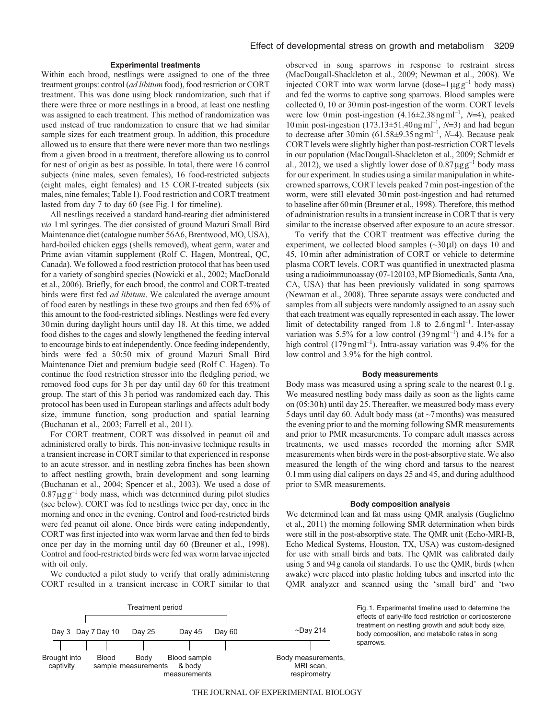#### **Experimental treatments**

Within each brood, nestlings were assigned to one of the three treatment groups: control (*ad libitum* food), food restriction or CORT treatment. This was done using block randomization, such that if there were three or more nestlings in a brood, at least one nestling was assigned to each treatment. This method of randomization was used instead of true randomization to ensure that we had similar sample sizes for each treatment group. In addition, this procedure allowed us to ensure that there were never more than two nestlings from a given brood in a treatment, therefore allowing us to control for nest of origin as best as possible. In total, there were 16 control subjects (nine males, seven females), 16 food-restricted subjects (eight males, eight females) and 15 CORT-treated subjects (six males, nine females; Table1). Food restriction and CORT treatment lasted from day 7 to day 60 (see Fig.1 for timeline).

All nestlings received a standard hand-rearing diet administered *via* 1ml syringes. The diet consisted of ground Mazuri Small Bird Maintenance diet (catalogue number 56A6, Brentwood, MO, USA), hard-boiled chicken eggs (shells removed), wheat germ, water and Prime avian vitamin supplement (Rolf C. Hagen, Montreal, QC, Canada). We followed a food restriction protocol that has been used for a variety of songbird species (Nowicki et al., 2002; MacDonald et al., 2006). Briefly, for each brood, the control and CORT-treated birds were first fed *ad libitum*. We calculated the average amount of food eaten by nestlings in these two groups and then fed 65% of this amount to the food-restricted siblings. Nestlings were fed every 30min during daylight hours until day 18. At this time, we added food dishes to the cages and slowly lengthened the feeding interval to encourage birds to eat independently. Once feeding independently, birds were fed a 50:50 mix of ground Mazuri Small Bird Maintenance Diet and premium budgie seed (Rolf C. Hagen). To continue the food restriction stressor into the fledgling period, we removed food cups for 3h per day until day 60 for this treatment group. The start of this 3h period was randomized each day. This protocol has been used in European starlings and affects adult body size, immune function, song production and spatial learning (Buchanan et al., 2003; Farrell et al., 2011).

For CORT treatment, CORT was dissolved in peanut oil and administered orally to birds. This non-invasive technique results in a transient increase in CORT similar to that experienced in response to an acute stressor, and in nestling zebra finches has been shown to affect nestling growth, brain development and song learning (Buchanan et al., 2004; Spencer et al., 2003). We used a dose of  $0.87 \mu$ gg<sup>-1</sup> body mass, which was determined during pilot studies (see below). CORT was fed to nestlings twice per day, once in the morning and once in the evening. Control and food-restricted birds were fed peanut oil alone. Once birds were eating independently, CORT was first injected into wax worm larvae and then fed to birds once per day in the morning until day 60 (Breuner et al., 1998). Control and food-restricted birds were fed wax worm larvae injected with oil only.

We conducted a pilot study to verify that orally administering CORT resulted in a transient increase in CORT similar to that observed in song sparrows in response to restraint stress (MacDougall-Shackleton et al., 2009; Newman et al., 2008). We injected CORT into wax worm larvae (dose= $1 \mu g g^{-1}$  body mass) and fed the worms to captive song sparrows. Blood samples were collected 0, 10 or 30min post-ingestion of the worm. CORT levels were low 0min post-ingestion (4.16±2.38ngml<sup>-1</sup>, *N*=4), peaked 10 min post-ingestion  $(173.13 \pm 51.40 \text{ ng m}^{-1}, N=3)$  and had begun to decrease after 30 min (61.58±9.35 ng ml<sup>-1</sup>, *N*=4). Because peak CORT levels were slightly higher than post-restriction CORT levels in our population (MacDougall-Shackleton et al., 2009; Schmidt et al., 2012), we used a slightly lower dose of  $0.87 \mu\text{g}\text{g}^{-1}$  body mass for our experiment. In studies using a similar manipulation in whitecrowned sparrows, CORT levels peaked 7min post-ingestion of the worm, were still elevated 30min post-ingestion and had returned to baseline after 60min (Breuner et al., 1998). Therefore, this method of administration results in a transient increase in CORT that is very similar to the increase observed after exposure to an acute stressor.

To verify that the CORT treatment was effective during the experiment, we collected blood samples  $(\sim 30 \,\mu$ l) on days 10 and 45, 10min after administration of CORT or vehicle to determine plasma CORT levels. CORT was quantified in unextracted plasma using a radioimmunoassay (07-120103, MP Biomedicals, Santa Ana, CA, USA) that has been previously validated in song sparrows (Newman et al., 2008). Three separate assays were conducted and samples from all subjects were randomly assigned to an assay such that each treatment was equally represented in each assay. The lower limit of detectability ranged from 1.8 to 2.6ngml<sup>-1</sup>. Inter-assay variation was 5.5% for a low control  $(39$ ngml<sup>-1</sup>) and 4.1% for a high control  $(179 \text{ ng m}^{-1})$ . Intra-assay variation was 9.4% for the low control and 3.9% for the high control.

## **Body measurements**

Body mass was measured using a spring scale to the nearest 0.1g. We measured nestling body mass daily as soon as the lights came on (05:30h) until day 25. Thereafter, we measured body mass every 5 days until day 60. Adult body mass (at  $\sim$ 7 months) was measured the evening prior to and the morning following SMR measurements and prior to PMR measurements. To compare adult masses across treatments, we used masses recorded the morning after SMR measurements when birds were in the post-absorptive state. We also measured the length of the wing chord and tarsus to the nearest 0.1mm using dial calipers on days 25 and 45, and during adulthood prior to SMR measurements.

#### **Body composition analysis**

We determined lean and fat mass using QMR analysis (Guglielmo et al., 2011) the morning following SMR determination when birds were still in the post-absorptive state. The QMR unit (Echo-MRI-B, Echo Medical Systems, Houston, TX, USA) was custom-designed for use with small birds and bats. The QMR was calibrated daily using 5 and 94g canola oil standards. To use the QMR, birds (when awake) were placed into plastic holding tubes and inserted into the QMR analyzer and scanned using the 'small bird' and 'two



Fig. 1. Experimental timeline used to determine the effects of early-life food restriction or corticosterone treatment on nestling growth and adult body size, body composition, and metabolic rates in song sparrows.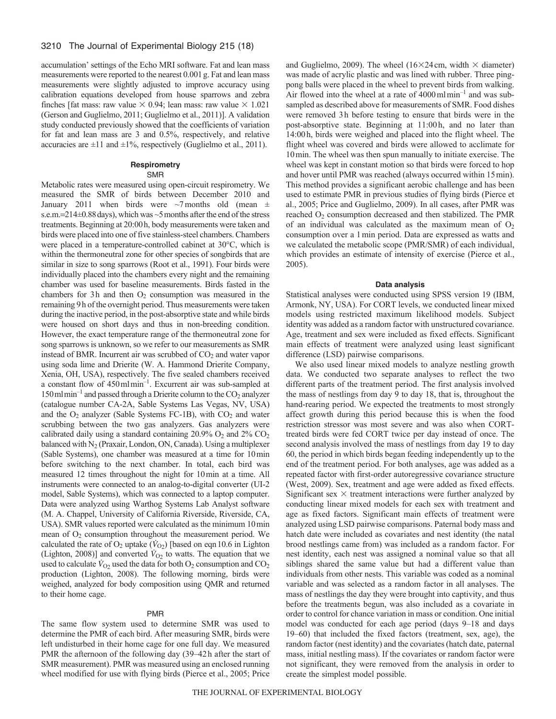## 3210 The Journal of Experimental Biology 215 (18)

accumulation' settings of the Echo MRI software. Fat and lean mass measurements were reported to the nearest 0.001g. Fat and lean mass measurements were slightly adjusted to improve accuracy using calibration equations developed from house sparrows and zebra finches [fat mass: raw value  $\times$  0.94; lean mass: raw value  $\times$  1.021 (Gerson and Guglielmo, 2011; Guglielmo et al., 2011)]. A validation study conducted previously showed that the coefficients of variation for fat and lean mass are 3 and 0.5%, respectively, and relative accuracies are  $\pm 11$  and  $\pm 1\%$ , respectively (Guglielmo et al., 2011).

#### **Respirometry** SMR

Metabolic rates were measured using open-circuit respirometry. We measured the SMR of birds between December 2010 and January 2011 when birds were  $\sim$ 7 months old (mean  $\pm$ s.e.m.= $214\pm0.88$  days), which was  $\sim$ 5 months after the end of the stress treatments. Beginning at 20:00h, body measurements were taken and birds were placed into one of five stainless-steel chambers. Chambers were placed in a temperature-controlled cabinet at 30°C, which is within the thermoneutral zone for other species of songbirds that are similar in size to song sparrows (Root et al., 1991). Four birds were individually placed into the chambers every night and the remaining chamber was used for baseline measurements. Birds fasted in the chambers for 3h and then  $O_2$  consumption was measured in the remaining 9h of the overnight period. Thus measurements were taken during the inactive period, in the post-absorptive state and while birds were housed on short days and thus in non-breeding condition. However, the exact temperature range of the thermoneutral zone for song sparrows is unknown, so we refer to our measurements as SMR instead of BMR. Incurrent air was scrubbed of  $CO<sub>2</sub>$  and water vapor using soda lime and Drierite (W. A. Hammond Drierite Company, Xenia, OH, USA), respectively. The five sealed chambers received a constant flow of 450mlmin–1. Excurrent air was sub-sampled at  $150$ mlmin<sup>-1</sup> and passed through a Drierite column to the  $CO<sub>2</sub>$  analyzer (catalogue number CA-2A, Sable Systems Las Vegas, NV, USA) and the  $O_2$  analyzer (Sable Systems FC-1B), with  $CO_2$  and water scrubbing between the two gas analyzers. Gas analyzers were calibrated daily using a standard containing  $20.9\%$  O<sub>2</sub> and  $2\%$  CO<sub>2</sub> balanced with  $N_2$  (Praxair, London, ON, Canada). Using a multiplexer (Sable Systems), one chamber was measured at a time for 10min before switching to the next chamber. In total, each bird was measured 12 times throughout the night for 10min at a time. All instruments were connected to an analog-to-digital converter (UI-2 model, Sable Systems), which was connected to a laptop computer. Data were analyzed using Warthog Systems Lab Analyst software (M. A. Chappel, University of California Riverside, Riverside, CA, USA). SMR values reported were calculated as the minimum 10min mean of  $O_2$  consumption throughout the measurement period. We calculated the rate of  $O_2$  uptake ( $\dot{V}_{O2}$ ) [based on eqn 10.6 in Lighton (Lighton, 2008)] and converted  $\dot{V}_{O2}$  to watts. The equation that we used to calculate  $\dot{V}_{O_2}$  used the data for both  $O_2$  consumption and  $CO_2$ production (Lighton, 2008). The following morning, birds were weighed, analyzed for body composition using QMR and returned to their home cage.

## PMR

The same flow system used to determine SMR was used to determine the PMR of each bird. After measuring SMR, birds were left undisturbed in their home cage for one full day. We measured PMR the afternoon of the following day (39–42h after the start of SMR measurement). PMR was measured using an enclosed running wheel modified for use with flying birds (Pierce et al., 2005; Price and Guglielmo, 2009). The wheel (16 $\times$ 24 cm, width  $\times$  diameter) was made of acrylic plastic and was lined with rubber. Three pingpong balls were placed in the wheel to prevent birds from walking. Air flowed into the wheel at a rate of  $4000 \,\text{ml}\,\text{min}^{-1}$  and was subsampled as described above for measurements of SMR. Food dishes were removed 3h before testing to ensure that birds were in the post-absorptive state. Beginning at 11:00h, and no later than 14:00h, birds were weighed and placed into the flight wheel. The flight wheel was covered and birds were allowed to acclimate for 10min. The wheel was then spun manually to initiate exercise. The wheel was kept in constant motion so that birds were forced to hop and hover until PMR was reached (always occurred within 15min). This method provides a significant aerobic challenge and has been used to estimate PMR in previous studies of flying birds (Pierce et al., 2005; Price and Guglielmo, 2009). In all cases, after PMR was reached O<sub>2</sub> consumption decreased and then stabilized. The PMR of an individual was calculated as the maximum mean of  $O_2$ consumption over a 1min period. Data are expressed as watts and we calculated the metabolic scope (PMR/SMR) of each individual, which provides an estimate of intensity of exercise (Pierce et al., 2005).

#### **Data analysis**

Statistical analyses were conducted using SPSS version 19 (IBM, Armonk, NY, USA). For CORT levels, we conducted linear mixed models using restricted maximum likelihood models. Subject identity was added as a random factor with unstructured covariance. Age, treatment and sex were included as fixed effects. Significant main effects of treatment were analyzed using least significant difference (LSD) pairwise comparisons.

We also used linear mixed models to analyze nestling growth data. We conducted two separate analyses to reflect the two different parts of the treatment period. The first analysis involved the mass of nestlings from day 9 to day 18, that is, throughout the hand-rearing period. We expected the treatments to most strongly affect growth during this period because this is when the food restriction stressor was most severe and was also when CORTtreated birds were fed CORT twice per day instead of once. The second analysis involved the mass of nestlings from day 19 to day 60, the period in which birds began feeding independently up to the end of the treatment period. For both analyses, age was added as a repeated factor with first-order autoregressive covariance structure (West, 2009). Sex, treatment and age were added as fixed effects. Significant sex  $\times$  treatment interactions were further analyzed by conducting linear mixed models for each sex with treatment and age as fixed factors. Significant main effects of treatment were analyzed using LSD pairwise comparisons. Paternal body mass and hatch date were included as covariates and nest identity (the natal brood nestlings came from) was included as a random factor. For nest identity, each nest was assigned a nominal value so that all siblings shared the same value but had a different value than individuals from other nests. This variable was coded as a nominal variable and was selected as a random factor in all analyses. The mass of nestlings the day they were brought into captivity, and thus before the treatments begun, was also included as a covariate in order to control for chance variation in mass or condition. One initial model was conducted for each age period (days 9–18 and days 19–60) that included the fixed factors (treatment, sex, age), the random factor (nest identity) and the covariates (hatch date, paternal mass, initial nestling mass). If the covariates or random factor were not significant, they were removed from the analysis in order to create the simplest model possible.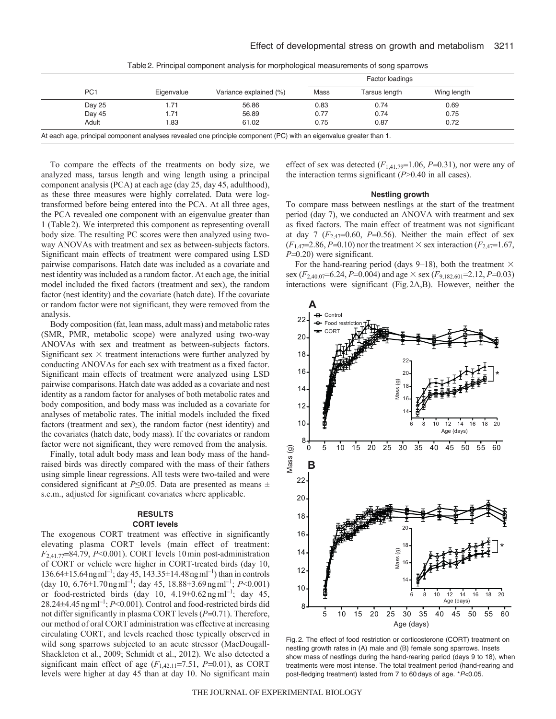| PC <sub>1</sub> | Eigenvalue | Variance explained (%) | Factor loadings |               |             |
|-----------------|------------|------------------------|-----------------|---------------|-------------|
|                 |            |                        | Mass            | Tarsus length | Wing length |
| Day 25          | 1.71       | 56.86                  | 0.83            | 0.74          | 0.69        |
| Day 45          | 1.71       | 56.89                  | 0.77            | 0.74          | 0.75        |
| Adult           | 1.83       | 61.02                  | 0.75            | 0.87          | 0.72        |

Table2. Principal component analysis for morphological measurements of song sparrows

To compare the effects of the treatments on body size, we analyzed mass, tarsus length and wing length using a principal component analysis (PCA) at each age (day 25, day 45, adulthood), as these three measures were highly correlated. Data were logtransformed before being entered into the PCA. At all three ages, the PCA revealed one component with an eigenvalue greater than 1 (Table2). We interpreted this component as representing overall body size. The resulting PC scores were then analyzed using twoway ANOVAs with treatment and sex as between-subjects factors. Significant main effects of treatment were compared using LSD pairwise comparisons. Hatch date was included as a covariate and nest identity was included as a random factor. At each age, the initial model included the fixed factors (treatment and sex), the random factor (nest identity) and the covariate (hatch date). If the covariate or random factor were not significant, they were removed from the analysis.

Body composition (fat, lean mass, adult mass) and metabolic rates (SMR, PMR, metabolic scope) were analyzed using two-way ANOVAs with sex and treatment as between-subjects factors. Significant sex  $\times$  treatment interactions were further analyzed by conducting ANOVAs for each sex with treatment as a fixed factor. Significant main effects of treatment were analyzed using LSD pairwise comparisons. Hatch date was added as a covariate and nest identity as a random factor for analyses of both metabolic rates and body composition, and body mass was included as a covariate for analyses of metabolic rates. The initial models included the fixed factors (treatment and sex), the random factor (nest identity) and the covariates (hatch date, body mass). If the covariates or random factor were not significant, they were removed from the analysis.

Finally, total adult body mass and lean body mass of the handraised birds was directly compared with the mass of their fathers using simple linear regressions. All tests were two-tailed and were considered significant at *P*≤0.05. Data are presented as means  $\pm$ s.e.m., adjusted for significant covariates where applicable.

## **RESULTS CORT levels**

The exogenous CORT treatment was effective in significantly elevating plasma CORT levels (main effect of treatment:  $F_{2,41.77}$ =84.79, *P*<0.001). CORT levels 10 min post-administration of CORT or vehicle were higher in CORT-treated birds (day 10, 136.64±15.64ngml–1; day 45, 143.35±14.48ngml–1) than in controls (day 10, 6.76±1.70ngml–1; day 45, 18.88±3.69ngml–1; *P*<0.001) or food-restricted birds (day 10,  $4.19 \pm 0.62$  ngml<sup>-1</sup>; day 45, 28.24±4.45ngml–1; *P*<0.001). Control and food-restricted birds did not differ significantly in plasma CORT levels  $(P=0.71)$ . Therefore, our method of oral CORT administration was effective at increasing circulating CORT, and levels reached those typically observed in wild song sparrows subjected to an acute stressor (MacDougall-Shackleton et al., 2009; Schmidt et al., 2012). We also detected a significant main effect of age  $(F_{1,42.11} = 7.51, P = 0.01)$ , as CORT levels were higher at day 45 than at day 10. No significant main effect of sex was detected  $(F_{1,41.79} = 1.06, P = 0.31)$ , nor were any of the interaction terms significant (*P*>0.40 in all cases).

## **Nestling growth**

To compare mass between nestlings at the start of the treatment period (day 7), we conducted an ANOVA with treatment and sex as fixed factors. The main effect of treatment was not significant at day 7  $(F_{2,47}=0.60, P=0.56)$ . Neither the main effect of sex  $(F_{1,47}=2.86, P=0.10)$  nor the treatment  $\times$  sex interaction ( $F_{2,47}=1.67$ , *P*=0.20) were significant.

For the hand-rearing period (days 9–18), both the treatment  $\times$ sex ( $F_{2,40.07}$ =6.24, *P*=0.004) and age  $\times$  sex ( $F_{9,182.601}$ =2.12, *P*=0.03) interactions were significant (Fig.2A,B). However, neither the



Fig. 2. The effect of food restriction or corticosterone (CORT) treatment on nestling growth rates in (A) male and (B) female song sparrows. Insets show mass of nestlings during the hand-rearing period (days 9 to 18), when treatments were most intense. The total treatment period (hand-rearing and post-fledging treatment) lasted from 7 to 60 days of age. \**P*<0.05.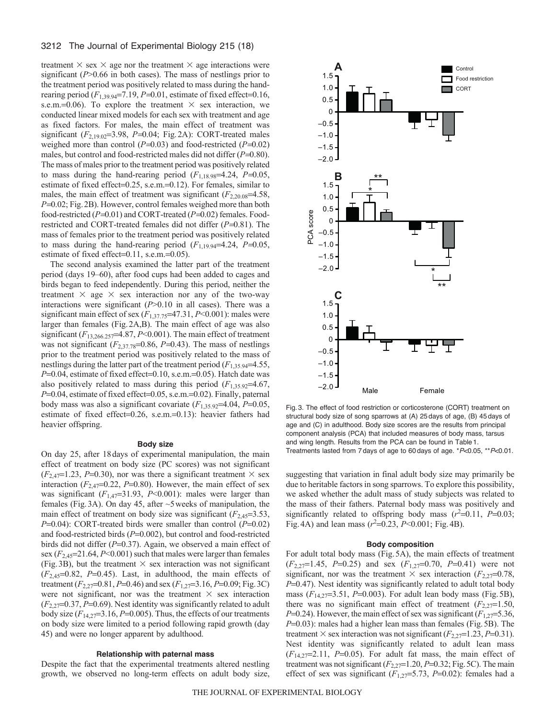treatment  $\times$  sex  $\times$  age nor the treatment  $\times$  age interactions were significant (*P*>0.66 in both cases). The mass of nestlings prior to the treatment period was positively related to mass during the handrearing period  $(F_{1,39.94} = 7.19, P = 0.01$ , estimate of fixed effect=0.16, s.e.m.=0.06). To explore the treatment  $\times$  sex interaction, we conducted linear mixed models for each sex with treatment and age as fixed factors. For males, the main effect of treatment was significant  $(F_{2,19.02} = 3.98, P = 0.04; Fig.2A)$ : CORT-treated males weighed more than control  $(P=0.03)$  and food-restricted  $(P=0.02)$ males, but control and food-restricted males did not differ  $(P=0.80)$ . The mass of males prior to the treatment period was positively related to mass during the hand-rearing period  $(F_{1,18.98} = 4.24, P = 0.05,$ estimate of fixed effect=0.25, s.e.m.=0.12). For females, similar to males, the main effect of treatment was significant  $(F_{2,20.08} = 4.58)$ , *P*=0.02; Fig. 2B). However, control females weighed more than both food-restricted ( $P=0.01$ ) and CORT-treated ( $P=0.02$ ) females. Foodrestricted and CORT-treated females did not differ ( $P=0.81$ ). The mass of females prior to the treatment period was positively related to mass during the hand-rearing period  $(F_{1,19.94} = 4.24, P = 0.05,$ estimate of fixed effect= $0.11$ , s.e.m.= $0.05$ ).

The second analysis examined the latter part of the treatment period (days 19–60), after food cups had been added to cages and birds began to feed independently. During this period, neither the treatment  $\times$  age  $\times$  sex interaction nor any of the two-way interactions were significant (*P*>0.10 in all cases). There was a significant main effect of sex  $(F_{1,37.75} = 47.31, P < 0.001)$ : males were larger than females (Fig.2A,B). The main effect of age was also significant  $(F_{13,266.257} = 4.87, P < 0.001)$ . The main effect of treatment was not significant  $(F_{2,37.78}=0.86, P=0.43)$ . The mass of nestlings prior to the treatment period was positively related to the mass of nestlings during the latter part of the treatment period  $(F_{1,35.94} = 4.55)$ , *P*=0.04, estimate of fixed effect=0.10, s.e.m.=0.05). Hatch date was also positively related to mass during this period  $(F_{1,35.92}=4.67,$ *P*=0.04, estimate of fixed effect=0.05, s.e.m.=0.02). Finally, paternal body mass was also a significant covariate  $(F_{1,35.92} = 4.04, P = 0.05,$ estimate of fixed effect=0.26, s.e.m.=0.13): heavier fathers had heavier offspring.

#### **Body size**

On day 25, after 18days of experimental manipulation, the main effect of treatment on body size (PC scores) was not significant  $(F_{2,47}=1.23, P=0.30)$ , nor was there a significant treatment  $\times$  sex interaction  $(F_{2,47}=0.22, P=0.80)$ . However, the main effect of sex was significant  $(F_{1,47}=31.93, P<0.001)$ : males were larger than females (Fig.3A). On day 45, after ~5weeks of manipulation, the main effect of treatment on body size was significant  $(F_{2,45}=3.53)$ ,  $P=0.04$ ): CORT-treated birds were smaller than control ( $P=0.02$ ) and food-restricted birds ( $P=0.002$ ), but control and food-restricted birds did not differ  $(P=0.37)$ . Again, we observed a main effect of sex  $(F_{2,45}=21.64, P<0.001)$  such that males were larger than females (Fig. 3B), but the treatment  $\times$  sex interaction was not significant  $(F_{2,45}=0.82, P=0.45)$ . Last, in adulthood, the main effects of treatment  $(F_{2,27}=0.81, P=0.46)$  and sex  $(F_{1,27}=3.16, P=0.09;$  Fig. 3C) were not significant, nor was the treatment  $\times$  sex interaction  $(F_{2,27}=0.37, P=0.69)$ . Nest identity was significantly related to adult body size  $(F_{14,27}=3.16, P=0.005)$ . Thus, the effects of our treatments on body size were limited to a period following rapid growth (day 45) and were no longer apparent by adulthood.

## **Relationship with paternal mass**

Despite the fact that the experimental treatments altered nestling growth, we observed no long-term effects on adult body size,



Fig. 3. The effect of food restriction or corticosterone (CORT) treatment on structural body size of song sparrows at (A) 25 days of age, (B) 45 days of age and (C) in adulthood. Body size scores are the results from principal component analysis (PCA) that included measures of body mass, tarsus and wing length. Results from the PCA can be found in Table 1. Treatments lasted from 7 days of age to 60 days of age. \**P*<0.05, \*\**P*<0.01.

suggesting that variation in final adult body size may primarily be due to heritable factors in song sparrows. To explore this possibility, we asked whether the adult mass of study subjects was related to the mass of their fathers. Paternal body mass was positively and significantly related to offspring body mass  $(r^2=0.11, P=0.03;$ Fig. 4A) and lean mass  $(r^2=0.23, P<0.001;$  Fig. 4B).

## **Body composition**

For adult total body mass (Fig.5A), the main effects of treatment  $(F_{2,27}=1.45, P=0.25)$  and sex  $(F_{1,27}=0.70, P=0.41)$  were not significant, nor was the treatment  $\times$  sex interaction ( $F_{2,27}=0.78$ , *P*=0.47). Nest identity was significantly related to adult total body mass  $(F_{14,27}=3.51, P=0.003)$ . For adult lean body mass (Fig.5B), there was no significant main effect of treatment  $(F_{2,27}=1.50)$ , *P*=0.24). However, the main effect of sex was significant ( $F_{1,27}$ =5.36, *P*=0.03): males had a higher lean mass than females (Fig.5B). The treatment  $\times$  sex interaction was not significant ( $F_{2,27}=1.23$ ,  $P=0.31$ ). Nest identity was significantly related to adult lean mass  $(F_{14,27}=2.11, P=0.05)$ . For adult fat mass, the main effect of treatment was not significant  $(F_{2,27}=1.20, P=0.32;$  Fig. 5C). The main effect of sex was significant  $(F_{1,27}=5.73, P=0.02)$ : females had a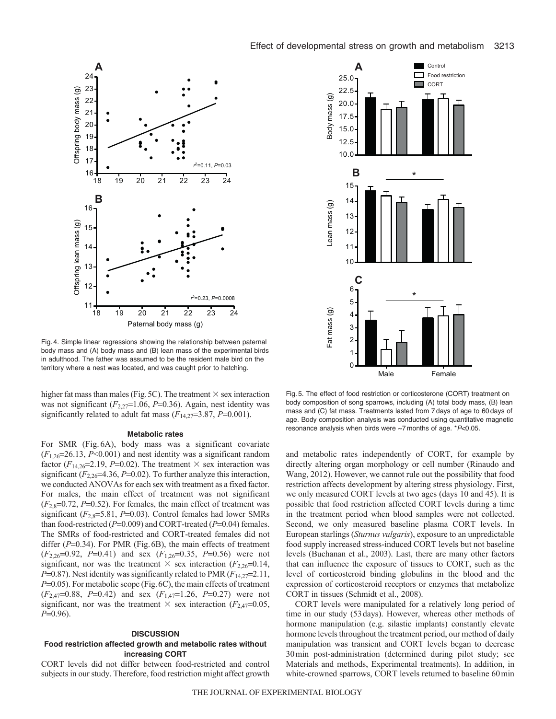

Fig. 4. Simple linear regressions showing the relationship between paternal body mass and (A) body mass and (B) lean mass of the experimental birds in adulthood. The father was assumed to be the resident male bird on the territory where a nest was located, and was caught prior to hatching.

higher fat mass than males (Fig. 5C). The treatment  $\times$  sex interaction was not significant  $(F_{2,27}=1.06, P=0.36)$ . Again, nest identity was significantly related to adult fat mass  $(F_{14,27}=3.87, P=0.001)$ .

#### **Metabolic rates**

For SMR (Fig. 6A), body mass was a significant covariate  $(F_{1,26}=26.13, P<0.001)$  and nest identity was a significant random factor ( $F_{14,26}=2.19$ ,  $P=0.02$ ). The treatment  $\times$  sex interaction was significant  $(F_{2,26} = 4.36, P = 0.02)$ . To further analyze this interaction, we conducted ANOVAs for each sex with treatment as a fixed factor. For males, the main effect of treatment was not significant  $(F_{2,8}=0.72, P=0.52)$ . For females, the main effect of treatment was significant  $(F_{2,8}=5.81, P=0.03)$ . Control females had lower SMRs than food-restricted  $(P=0.009)$  and CORT-treated  $(P=0.04)$  females. The SMRs of food-restricted and CORT-treated females did not differ  $(P=0.34)$ . For PMR (Fig. 6B), the main effects of treatment  $(F_{2,26}=0.92, P=0.41)$  and sex  $(F_{1,26}=0.35, P=0.56)$  were not significant, nor was the treatment  $\times$  sex interaction ( $F_{2,26}=0.14$ , *P*=0.87). Nest identity was significantly related to PMR ( $F_{14,27}$ =2.11, *P*=0.05). For metabolic scope (Fig. 6C), the main effects of treatment  $(F_{2,47}=0.88, P=0.42)$  and sex  $(F_{1,47}=1.26, P=0.27)$  were not significant, nor was the treatment  $\times$  sex interaction ( $F_{2,47}=0.05$ , *P*=0.96).

#### **DISCUSSION**

## **Food restriction affected growth and metabolic rates without increasing CORT**

CORT levels did not differ between food-restricted and control subjects in our study. Therefore, food restriction might affect growth



Fig. 5. The effect of food restriction or corticosterone (CORT) treatment on body composition of song sparrows, including (A) total body mass, (B) lean mass and (C) fat mass. Treatments lasted from 7 days of age to 60 days of age. Body composition analysis was conducted using quantitative magnetic resonance analysis when birds were ~7 months of age. \**P*<0.05.

and metabolic rates independently of CORT, for example by directly altering organ morphology or cell number (Rinaudo and Wang, 2012). However, we cannot rule out the possibility that food restriction affects development by altering stress physiology. First, we only measured CORT levels at two ages (days 10 and 45). It is possible that food restriction affected CORT levels during a time in the treatment period when blood samples were not collected. Second, we only measured baseline plasma CORT levels. In European starlings (*Sturnus vulgaris*), exposure to an unpredictable food supply increased stress-induced CORT levels but not baseline levels (Buchanan et al., 2003). Last, there are many other factors that can influence the exposure of tissues to CORT, such as the level of corticosteroid binding globulins in the blood and the expression of corticosteroid receptors or enzymes that metabolize CORT in tissues (Schmidt et al., 2008).

CORT levels were manipulated for a relatively long period of time in our study (53days). However, whereas other methods of hormone manipulation (e.g. silastic implants) constantly elevate hormone levels throughout the treatment period, our method of daily manipulation was transient and CORT levels began to decrease 30min post-administration (determined during pilot study; see Materials and methods, Experimental treatments). In addition, in white-crowned sparrows, CORT levels returned to baseline 60min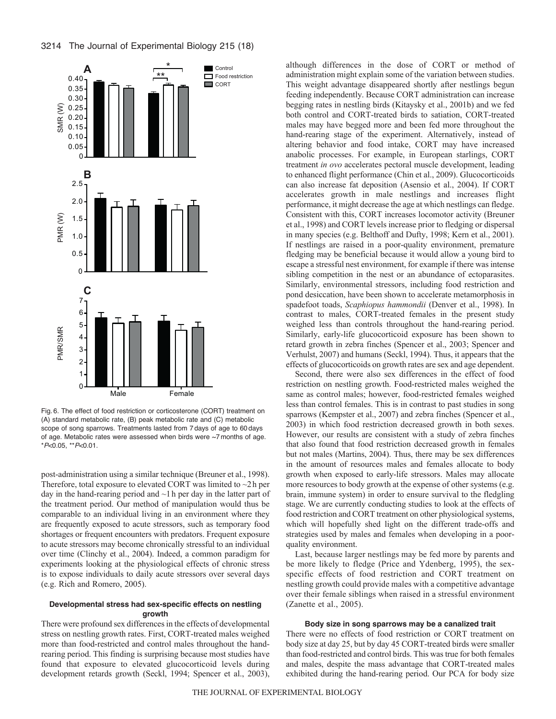



Fig. 6. The effect of food restriction or corticosterone (CORT) treatment on (A) standard metabolic rate, (B) peak metabolic rate and (C) metabolic scope of song sparrows. Treatments lasted from 7 days of age to 60 days of age. Metabolic rates were assessed when birds were ~7 months of age. \**P*<0.05, \*\**P*<0.01.

post-administration using a similar technique (Breuner et al., 1998). Therefore, total exposure to elevated CORT was limited to  $\sim$ 2h per day in the hand-rearing period and  $\sim$ 1 h per day in the latter part of the treatment period. Our method of manipulation would thus be comparable to an individual living in an environment where they are frequently exposed to acute stressors, such as temporary food shortages or frequent encounters with predators. Frequent exposure to acute stressors may become chronically stressful to an individual over time (Clinchy et al., 2004). Indeed, a common paradigm for experiments looking at the physiological effects of chronic stress is to expose individuals to daily acute stressors over several days (e.g. Rich and Romero, 2005).

## **Developmental stress had sex-specific effects on nestling growth**

There were profound sex differences in the effects of developmental stress on nestling growth rates. First, CORT-treated males weighed more than food-restricted and control males throughout the handrearing period. This finding is surprising because most studies have found that exposure to elevated glucocorticoid levels during development retards growth (Seckl, 1994; Spencer et al., 2003), although differences in the dose of CORT or method of administration might explain some of the variation between studies. This weight advantage disappeared shortly after nestlings begun feeding independently. Because CORT administration can increase begging rates in nestling birds (Kitaysky et al., 2001b) and we fed both control and CORT-treated birds to satiation, CORT-treated males may have begged more and been fed more throughout the hand-rearing stage of the experiment. Alternatively, instead of altering behavior and food intake, CORT may have increased anabolic processes. For example, in European starlings, CORT treatment *in ovo* accelerates pectoral muscle development, leading to enhanced flight performance (Chin et al., 2009). Glucocorticoids can also increase fat deposition (Asensio et al., 2004). If CORT accelerates growth in male nestlings and increases flight performance, it might decrease the age at which nestlings can fledge. Consistent with this, CORT increases locomotor activity (Breuner et al., 1998) and CORT levels increase prior to fledging or dispersal in many species (e.g. Belthoff and Dufty, 1998; Kern et al., 2001). If nestlings are raised in a poor-quality environment, premature fledging may be beneficial because it would allow a young bird to escape a stressful nest environment, for example if there was intense sibling competition in the nest or an abundance of ectoparasites. Similarly, environmental stressors, including food restriction and pond desiccation, have been shown to accelerate metamorphosis in spadefoot toads, *Scaphiopus hammondii* (Denver et al., 1998). In contrast to males, CORT-treated females in the present study weighed less than controls throughout the hand-rearing period. Similarly, early-life glucocorticoid exposure has been shown to retard growth in zebra finches (Spencer et al., 2003; Spencer and Verhulst, 2007) and humans (Seckl, 1994). Thus, it appears that the effects of glucocorticoids on growth rates are sex and age dependent.

Second, there were also sex differences in the effect of food restriction on nestling growth. Food-restricted males weighed the same as control males; however, food-restricted females weighed less than control females. This is in contrast to past studies in song sparrows (Kempster et al., 2007) and zebra finches (Spencer et al., 2003) in which food restriction decreased growth in both sexes. However, our results are consistent with a study of zebra finches that also found that food restriction decreased growth in females but not males (Martins, 2004). Thus, there may be sex differences in the amount of resources males and females allocate to body growth when exposed to early-life stressors. Males may allocate more resources to body growth at the expense of other systems (e.g. brain, immune system) in order to ensure survival to the fledgling stage. We are currently conducting studies to look at the effects of food restriction and CORT treatment on other physiological systems, which will hopefully shed light on the different trade-offs and strategies used by males and females when developing in a poorquality environment.

Last, because larger nestlings may be fed more by parents and be more likely to fledge (Price and Ydenberg, 1995), the sexspecific effects of food restriction and CORT treatment on nestling growth could provide males with a competitive advantage over their female siblings when raised in a stressful environment (Zanette et al., 2005).

#### **Body size in song sparrows may be a canalized trait**

There were no effects of food restriction or CORT treatment on body size at day 25, but by day 45 CORT-treated birds were smaller than food-restricted and control birds. This was true for both females and males, despite the mass advantage that CORT-treated males exhibited during the hand-rearing period. Our PCA for body size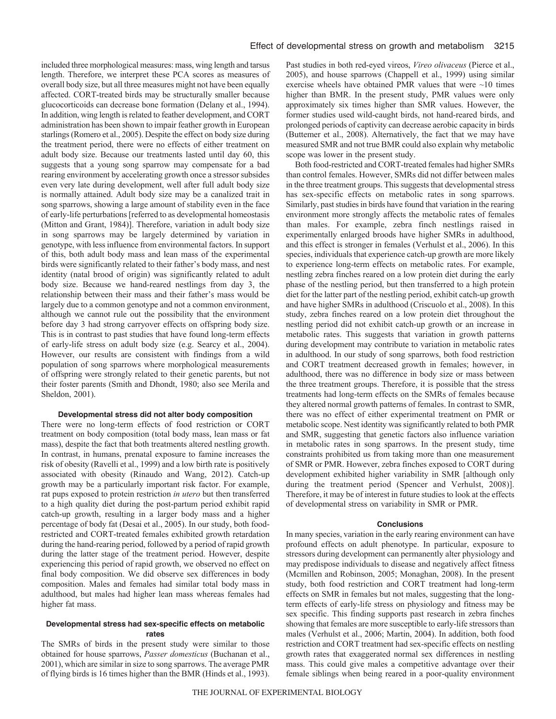included three morphological measures: mass, wing length and tarsus length. Therefore, we interpret these PCA scores as measures of overall body size, but all three measures might not have been equally affected. CORT-treated birds may be structurally smaller because glucocorticoids can decrease bone formation (Delany et al., 1994). In addition, wing length is related to feather development, and CORT administration has been shown to impair feather growth in European starlings (Romero et al., 2005). Despite the effect on body size during the treatment period, there were no effects of either treatment on adult body size. Because our treatments lasted until day 60, this suggests that a young song sparrow may compensate for a bad rearing environment by accelerating growth once a stressor subsides even very late during development, well after full adult body size is normally attained. Adult body size may be a canalized trait in song sparrows, showing a large amount of stability even in the face of early-life perturbations [referred to as developmental homeostasis (Mitton and Grant, 1984)]. Therefore, variation in adult body size in song sparrows may be largely determined by variation in genotype, with less influence from environmental factors. In support of this, both adult body mass and lean mass of the experimental birds were significantly related to their father's body mass, and nest identity (natal brood of origin) was significantly related to adult body size. Because we hand-reared nestlings from day 3, the relationship between their mass and their father's mass would be largely due to a common genotype and not a common environment, although we cannot rule out the possibility that the environment before day 3 had strong carryover effects on offspring body size. This is in contrast to past studies that have found long-term effects of early-life stress on adult body size (e.g. Searcy et al., 2004). However, our results are consistent with findings from a wild population of song sparrows where morphological measurements of offspring were strongly related to their genetic parents, but not their foster parents (Smith and Dhondt, 1980; also see Merila and Sheldon, 2001).

#### **Developmental stress did not alter body composition**

There were no long-term effects of food restriction or CORT treatment on body composition (total body mass, lean mass or fat mass), despite the fact that both treatments altered nestling growth. In contrast, in humans, prenatal exposure to famine increases the risk of obesity (Ravelli et al., 1999) and a low birth rate is positively associated with obesity (Rinaudo and Wang, 2012). Catch-up growth may be a particularly important risk factor. For example, rat pups exposed to protein restriction *in utero* but then transferred to a high quality diet during the post-partum period exhibit rapid catch-up growth, resulting in a larger body mass and a higher percentage of body fat (Desai et al., 2005). In our study, both foodrestricted and CORT-treated females exhibited growth retardation during the hand-rearing period, followed by a period of rapid growth during the latter stage of the treatment period. However, despite experiencing this period of rapid growth, we observed no effect on final body composition. We did observe sex differences in body composition. Males and females had similar total body mass in adulthood, but males had higher lean mass whereas females had higher fat mass.

#### **Developmental stress had sex-specific effects on metabolic rates**

The SMRs of birds in the present study were similar to those obtained for house sparrows, *Passer domesticus* (Buchanan et al., 2001), which are similar in size to song sparrows. The average PMR of flying birds is 16 times higher than the BMR (Hinds et al., 1993). Past studies in both red-eyed vireos, *Vireo olivaceus* (Pierce et al., 2005), and house sparrows (Chappell et al., 1999) using similar exercise wheels have obtained PMR values that were ~10 times higher than BMR. In the present study, PMR values were only approximately six times higher than SMR values. However, the former studies used wild-caught birds, not hand-reared birds, and prolonged periods of captivity can decrease aerobic capacity in birds (Buttemer et al., 2008). Alternatively, the fact that we may have measured SMR and not true BMR could also explain why metabolic scope was lower in the present study.

Both food-restricted and CORT-treated females had higher SMRs than control females. However, SMRs did not differ between males in the three treatment groups. This suggests that developmental stress has sex-specific effects on metabolic rates in song sparrows. Similarly, past studies in birds have found that variation in the rearing environment more strongly affects the metabolic rates of females than males. For example, zebra finch nestlings raised in experimentally enlarged broods have higher SMRs in adulthood, and this effect is stronger in females (Verhulst et al., 2006). In this species, individuals that experience catch-up growth are more likely to experience long-term effects on metabolic rates. For example, nestling zebra finches reared on a low protein diet during the early phase of the nestling period, but then transferred to a high protein diet for the latter part of the nestling period, exhibit catch-up growth and have higher SMRs in adulthood (Criscuolo et al., 2008). In this study, zebra finches reared on a low protein diet throughout the nestling period did not exhibit catch-up growth or an increase in metabolic rates. This suggests that variation in growth patterns during development may contribute to variation in metabolic rates in adulthood. In our study of song sparrows, both food restriction and CORT treatment decreased growth in females; however, in adulthood, there was no difference in body size or mass between the three treatment groups. Therefore, it is possible that the stress treatments had long-term effects on the SMRs of females because they altered normal growth patterns of females. In contrast to SMR, there was no effect of either experimental treatment on PMR or metabolic scope. Nest identity was significantly related to both PMR and SMR, suggesting that genetic factors also influence variation in metabolic rates in song sparrows. In the present study, time constraints prohibited us from taking more than one measurement of SMR or PMR. However, zebra finches exposed to CORT during development exhibited higher variability in SMR [although only during the treatment period (Spencer and Verhulst, 2008)]. Therefore, it may be of interest in future studies to look at the effects of developmental stress on variability in SMR or PMR.

#### **Conclusions**

In many species, variation in the early rearing environment can have profound effects on adult phenotype. In particular, exposure to stressors during development can permanently alter physiology and may predispose individuals to disease and negatively affect fitness (Mcmillen and Robinson, 2005; Monaghan, 2008). In the present study, both food restriction and CORT treatment had long-term effects on SMR in females but not males, suggesting that the longterm effects of early-life stress on physiology and fitness may be sex specific. This finding supports past research in zebra finches showing that females are more susceptible to early-life stressors than males (Verhulst et al., 2006; Martin, 2004). In addition, both food restriction and CORT treatment had sex-specific effects on nestling growth rates that exaggerated normal sex differences in nestling mass. This could give males a competitive advantage over their female siblings when being reared in a poor-quality environment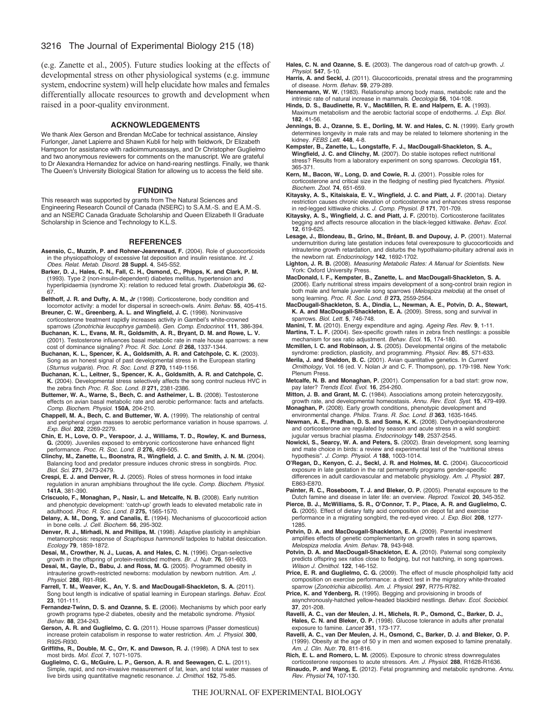## 3216 The Journal of Experimental Biology 215 (18)

(e.g. Zanette et al., 2005). Future studies looking at the effects of developmental stress on other physiological systems (e.g. immune system, endocrine system) will help elucidate how males and females differentially allocate resources to growth and development when raised in a poor-quality environment.

## **ACKNOWLEDGEMENTS**

We thank Alex Gerson and Brendan McCabe for technical assistance, Ainsley Furlonger, Janet Lapierre and Shawn Kubli for help with fieldwork, Dr Elizabeth Hampson for assistance with radioimmunoassays, and Dr Christopher Guglielmo and two anonymous reviewers for comments on the manuscript. We are grateful to Dr Alexandra Hernandez for advice on hand-rearing nestlings. Finally, we thank The Queen's University Biological Station for allowing us to access the field site.

#### **FUNDING**

This research was supported by grants from The Natural Sciences and Engineering Research Council of Canada (NSERC) to S.A.M.-S. and E.A.M.-S. and an NSERC Canada Graduate Scholarship and Queen Elizabeth II Graduate Scholarship in Science and Technology to K.L.S.

#### **REFERENCES**

- **Asensio, C., Muzzin, P. and Rohner-Jeanrenaud, F.** (2004). Role of glucocorticoids in the physiopathology of excessive fat deposition and insulin resistance. *Int. J.*
- *Obes. Relat. Metab. Disord.* **28 Suppl. 4**, S45-S52. **Barker, D. J., Hales, C. N., Fall, C. H., Osmond, C., Phipps, K. and Clark, P. M.** (1993). Type 2 (non-insulin-dependent) diabetes mellitus, hypertension and hyperlipidaemia (syndrome X): relation to reduced fetal growth. *Diabetologia* **36**, 62-
- 67. **Belthoff, J. R. and Dufty, A. M., Jr** (1998). Corticosterone, body condition and locomotor activity: a model for dispersal in screech-owls. *Anim. Behav.* **55**, 405-415.
- **Breuner, C. W., Greenberg, A. L. and Wingfield, J. C.** (1998). Noninvasive corticosterone treatment rapidly increases activity in Gambel's white-crowned
- sparrows (*Zonotrichia leucophrys gambelii*). *Gen. Comp. Endocrinol.* **111**, 386-394. **Buchanan, K. L., Evans, M. R., Goldsmith, A. R., Bryant, D. M. and Rowe, L. V.** (2001). Testosterone influences basal metabolic rate in male house sparrows: a new cost of dominance signaling? *Proc. R. Soc. Lond. B* **268,** 1337-1344.
- **Buchanan, K. L., Spencer, K. A., Goldsmith, A. R. and Catchpole, C. K.** (2003). Song as an honest signal of past developmental stress in the European starling (*Sturnus vulgaris*). *Proc. R. Soc. Lond. B* **270,** 1149-1156.
- **Buchanan, K. L., Leitner, S., Spencer, K. A., Goldsmith, A. R. and Catchpole, C. K.** (2004). Developmental stress selectively affects the song control nucleus HVC in the zebra finch *Proc. R. Soc. Lond. B* **271,** 2381-2386.
- **Buttemer, W. A., Warne, S., Bech, C. and Astheimer, L. B.** (2008). Testosterone effects on avian basal metabolic rate and aerobic performance: facts and artefacts. *Comp. Biochem. Physiol.* **150A**, 204-210.
- **Chappell, M. A., Bech, C. and Buttemer, W. A.** (1999). The relationship of central and peripheral organ masses to aerobic performance variation in house sparrows. *J. Exp. Biol.* **202**, 2269-2279.
- **Chin, E. H., Love, O. P., Verspoor, J. J., Williams, T. D., Rowley, K. and Burness, G.** (2009). Juveniles exposed to embryonic corticosterone have enhanced flight performance. *Proc. R. Soc. Lond. B* **276,** 499-505.
- **Clinchy, M., Zanette, L., Boonstra, R., Wingfield, J. C. and Smith, J. N. M.** (2004). Balancing food and predator pressure induces chronic stress in songbirds. *Proc. Biol. Sci.* **271**, 2473-2479.
- **Crespi, E. J. and Denver, R. J.** (2005). Roles of stress hormones in food intake regulation in anuran amphibians throughout the life cycle. *Comp. Biochem. Physiol.* **141A**, 381-390.
- **Criscuolo, F., Monaghan, P., Nasir, L. and Metcalfe, N. B.** (2008). Early nutrition and phenotypic development: ʻcatch-up' growth leads to elevated metabolic rate in adulthood. *Proc. R. Soc. Lond. B* **275,** 1565-1570.
- **Delany, A. M., Dong, Y. and Canalis, E.** (1994). Mechanisms of glucocorticoid action in bone cells. *J. Cell. Biochem.* **56**, 295-302.
- **Denver, R. J., Mirhadi, N. and Phillips, M.** (1998). Adaptive plasticity in amphibian metamorphosis: response of *Scaphiopus hammondii* tadpoles to habitat desiccation. *Ecology* **79**, 1859-1872.
- **Desai, M., Crowther, N. J., Lucas, A. and Hales, C. N.** (1996). Organ-selective growth in the offspring of protein-restricted mothers. *Br. J. Nutr.* **76**, 591-603.
- **Desai, M., Gayle, D., Babu, J. and Ross, M. G.** (2005). Programmed obesity in intrauterine growth-restricted newborns: modulation by newborn nutrition. *Am. J. Physiol.* **288**, R91-R96.
- **Farrell, T. M., Weaver, K., An, Y. S. and MacDougall-Shackleton, S. A.** (2011). Song bout length is indicative of spatial learning in European starlings. *Behav. Ecol.* **23**, 101-111.
- **Fernandez-Twinn, D. S. and Ozanne, S. E.** (2006). Mechanisms by which poor early growth programs type-2 diabetes, obesity and the metabolic syndrome. *Physiol. Behav.* **88**, 234-243.
- **Gerson, A. R. and Guglielmo, C. G.** (2011). House sparrows (Passer domesticus) increase protein catabolism in response to water restriction. *Am. J. Physiol.* **300**, R925-R930.
- **Griffiths, R., Double, M. C., Orr, K. and Dawson, R. J.** (1998). A DNA test to sex most birds. *Mol. Ecol.* **7**, 1071-1075.
- **Guglielmo, C. G., McGuire, L. P., Gerson, A. R. and Seewagen, C. L.** (2011). Simple, rapid, and non-invasive measurement of fat, lean, and total water masses of live birds using quantitative magnetic resonance. *J. Ornithol.* **152**, 75-85.
- **Hales, C. N. and Ozanne, S. E.** (2003). The dangerous road of catch-up growth. *J. Physiol.* **547**, 5-10.
- Harris, A. and Seckl, J. (2011). Glucocorticoids, prenatal stress and the programming of disease. *Horm. Behav.* **59**, 279-289.
- **Hennemann, W. W.** (1983). Relationship among body mass, metabolic rate and the intrinsic rate of natural increase in mammals. *Oecologia* **56**, 104-108. **Hinds, D. S., Baudinette, R. V., MacMillen, R. E. and Halpern, E. A.** (1993).
- Maximum metabolism and the aerobic factorial scope of endotherms. *J. Exp. Biol.* **182**, 41-56.
- **Jennings, B. J., Ozanne, S. E., Dorling, M. W. and Hales, C. N.** (1999). Early growth determines longevity in male rats and may be related to telomere shortening in the kidney. *FEBS Lett.* **448**, 4-8.
- **Kempster, B., Zanette, L., Longstaffe, F. J., MacDougall-Shackleton, S. A., Wingfield, J. C. and Clinchy, M.** (2007). Do stable isotopes reflect nutritional stress? Results from a laboratory experiment on song sparrows. *Oecologia* **151**, 365-371.
- **Kern, M., Bacon, W., Long, D. and Cowie, R. J.** (2001). Possible roles for corticosterone and critical size in the fledging of nestling pied flycatchers. *Physiol. Biochem. Zool.* **74**, 651-659.
- **Kitaysky, A. S., Kitaiskaia, E. V., Wingfield, J. C. and Piatt, J. F.** (2001a). Dietary restriction causes chronic elevation of corticosterone and enhances stress response in red-legged kittiwake chicks. *J. Comp. Physiol. B* **171**, 701-709.
- **Kitaysky, A. S., Wingfield, J. C. and Piatt, J. F.** (2001b). Corticosterone facilitates begging and affects resource allocation in the black-legged kittiwake. *Behav. Ecol.* **12**, 619-625.
- **Lesage, J., Blondeau, B., Grino, M., Bréant, B. and Dupouy, J. P.** (2001). Maternal undernutrition during late gestation induces fetal overexposure to glucocorticoids and intrauterine growth retardation, and disturbs the hypothalamo-pituitary adrenal axis in the newborn rat. *Endocrinology* **142**, 1692-1702.
- **Lighton, J. R. B.** (2008). *Measuring Metabolic Rates: A Manual for Scientists.* New York: Oxford University Press.
- **MacDonald, I. F., Kempster, B., Zanette, L. and MacDougall-Shackleton, S. A.** (2006). Early nutritional stress impairs development of a song-control brain region in both male and female juvenile song sparrows (*Melospiza melodia*) at the onset of
- song learning. *Proc. R. Soc. Lond. B* **273,** 2559-2564. **MacDougall-Shackleton, S. A., Dindia, L., Newman, A. E., Potvin, D. A., Stewart, K. A. and MacDougall-Shackleton, E. A.** (2009). Stress, song and survival in sparrows. *Biol. Lett.* **5**, 746-748.
- **Manini, T. M.** (2010). Energy expenditure and aging. *Ageing Res. Rev.* **9**, 1-11.
- **Martins, T. L. F.** (2004). Sex-specific growth rates in zebra finch nestlings: a possible mechanism for sex ratio adjustment. *Behav. Ecol.* **15**, 174-180.
- **Mcmillen, I. C. and Robinson, J. S.** (2005). Developmental origins of the metabolic syndrome: prediction, plasticity, and programming. *Physiol. Rev.* **85**, 571-633.
- **Merila, J. and Sheldon, B. C.** (2001). Avian quantitative genetics. In *Current Ornithology*, Vol. 16 (ed. V. Nolan Jr and C. F. Thompson), pp. 179-198. New York: Plenum Press.
- **Metcalfe, N. B. and Monaghan, P.** (2001). Compensation for a bad start: grow now, pay later? *Trends Ecol. Evol.* **16**, 254-260.
- **Mitton, J. B. and Grant, M. C.** (1984). Associations among protein heterozygosity, growth rate, and developmental homeostasis. *Annu. Rev. Ecol. Syst.* **15**, 479-499. **Monaghan, P.** (2008). Early growth conditions, phenotypic development and
- environmental change. *Philos. Trans. R. Soc. Lond. B* **363**, 1635-1645.
- **Newman, A. E., Pradhan, D. S. and Soma, K. K.** (2008). Dehydroepiandrosterone and corticosterone are regulated by season and acute stress in a wild songbird: jugular versus brachial plasma. *Endocrinology* **149**, 2537-2545.
- **Nowicki, S., Searcy, W. A. and Peters, S.** (2002). Brain development, song learning and mate choice in birds: a review and experimental test of the "nutritional stress hypothesis". *J. Comp. Physiol. A* **188**, 1003-1014.
- **O'Regan, D., Kenyon, C. J., Seckl, J. R. and Holmes, M. C.** (2004). Glucocorticoid exposure in late gestation in the rat permanently programs gender-specific differences in adult cardiovascular and metabolic physiology. *Am. J. Physiol.* **287**, E863-E870.
- **Painter, R. C., Roseboom, T. J. and Bleker, O. P.** (2005). Prenatal exposure to the Dutch famine and disease in later life: an overview. *Reprod. Toxicol.* **20**, 345-352.
- **Pierce, B. J., McWilliams, S. R., O'Connor, T. P., Place, A. R. and Guglielmo, C. G.** (2005). Effect of dietary fatty acid composition on depot fat and exercise performance in a migrating songbird, the red-eyed vireo. *J. Exp. Biol.* **208**, 1277- .<br>1285
- **Potvin, D. A. and MacDougall-Shackleton, E. A.** (2009). Parental investment amplifies effects of genetic complementarity on growth rates in song sparrows, *Melospiza melodia. Anim. Behav.* **78**, 943-948.
- **Potvin, D. A. and MacDougall-Shackleton, E. A.** (2010). Paternal song complexity predicts offspring sex ratios close to fledging, but not hatching, in song sparrows. *Wilson J. Ornithol.* **122**, 146-152.
- **Price, E. R. and Guglielmo, C. G.** (2009). The effect of muscle phospholipid fatty acid composition on exercise performance: a direct test in the migratory white-throated sparrow (*Zonotrichia albicollis*). *Am. J. Physiol.* **297**, R775-R782.
- **Price, K. and Ydenberg, R.** (1995). Begging and provisioning in broods of asynchronously-hatched yellow-headed blackbird nestlings. *Behav. Ecol. Sociobiol.* **37**, 201-208.
- **Ravelli, A. C., van der Meulen, J. H., Michels, R. P., Osmond, C., Barker, D. J., Hales, C. N. and Bleker, O. P.** (1998). Glucose tolerance in adults after prenatal exposure to famine. *Lancet* **351**, 173-177.
- **Ravelli, A. C., van Der Meulen, J. H., Osmond, C., Barker, D. J. and Bleker, O. P.** (1999). Obesity at the age of 50 y in men and women exposed to famine prenatally. *Am. J. Clin. Nutr.* **70**, 811-816.
- **Rich, E. L. and Romero, L. M.** (2005). Exposure to chronic stress downregulates corticosterone responses to acute stressors. *Am. J. Physiol.* **288**, R1628-R1636.
- **Rinaudo, P. and Wang, E.** (2012). Fetal programming and metabolic syndrome. *Annu. Rev. Physiol* **74,** 107-130.